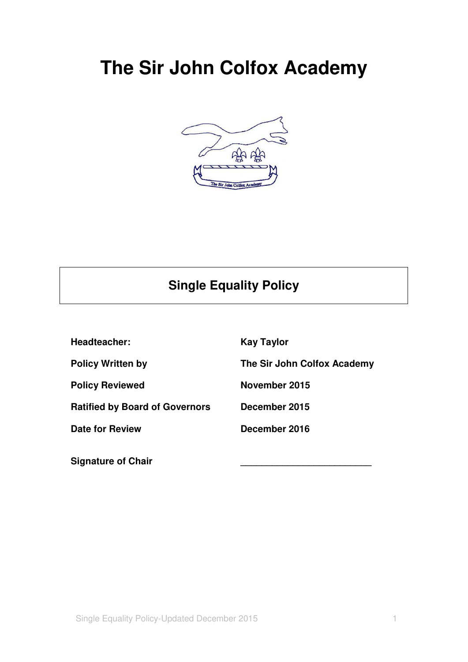# **The Sir John Colfox Academy**



# **Single Equality Policy**

**Headteacher:** Kay Taylor **Policy Written by The Sir John Colfox Academy Policy Reviewed November 2015 Ratified by Board of Governors December 2015 Date for Review December 2016** 

Signature of Chair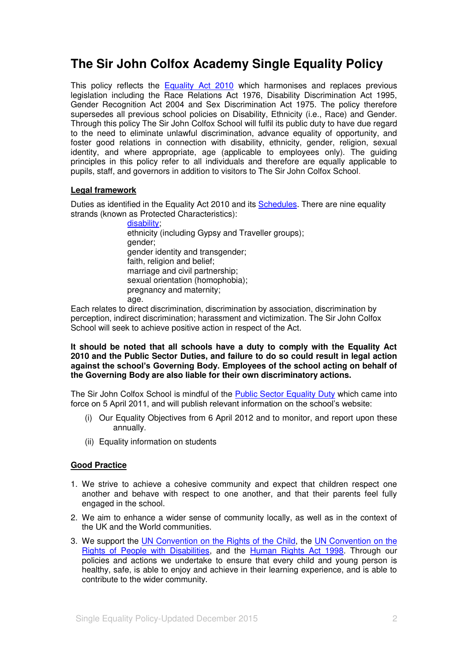# **The Sir John Colfox Academy Single Equality Policy**

This policy reflects the [Equality Act 2010](http://www.equalities.gov.uk/equality_act_2010.aspx) which harmonises and replaces previous legislation including the Race Relations Act 1976, Disability Discrimination Act 1995, Gender Recognition Act 2004 and Sex Discrimination Act 1975. The policy therefore supersedes all previous school policies on Disability, Ethnicity (i.e., Race) and Gender. Through this policy The Sir John Colfox School will fulfil its public duty to have due regard to the need to eliminate unlawful discrimination, advance equality of opportunity, and foster good relations in connection with disability, ethnicity, gender, religion, sexual identity, and where appropriate, age (applicable to employees only). The guiding principles in this policy refer to all individuals and therefore are equally applicable to pupils, staff, and governors in addition to visitors to The Sir John Colfox School.

### **Legal framework**

Duties as identified in the Equality Act 2010 and its [Schedules.](http://www.legislation.gov.uk/ukpga/2010/15/contents) There are nine equality strands (known as Protected Characteristics):

> [disability;](http://www.direct.gov.uk/en/DisabledPeople/RightsAndObligations/DisabilityRights/DG_4001068) ethnicity (including Gypsy and Traveller groups); gender; gender identity and transgender; faith, religion and belief; marriage and civil partnership; sexual orientation (homophobia); pregnancy and maternity; age.

Each relates to direct discrimination, discrimination by association, discrimination by perception, indirect discrimination; harassment and victimization. The Sir John Colfox School will seek to achieve positive action in respect of the Act.

**It should be noted that all schools have a duty to comply with the Equality Act 2010 and the Public Sector Duties, and failure to do so could result in legal action against the school's Governing Body. Employees of the school acting on behalf of the Governing Body are also liable for their own discriminatory actions.**

The Sir John Colfox School is mindful of the [Public Sector Equality Duty](http://www.equalities.gov.uk/equality_act_2010/public_sector_equality_duty.aspx) which came into force on 5 April 2011, and will publish relevant information on the school"s website:

- (i) Our Equality Objectives from 6 April 2012 and to monitor, and report upon these annually.
- (ii) Equality information on students

#### **Good Practice**

- 1. We strive to achieve a cohesive community and expect that children respect one another and behave with respect to one another, and that their parents feel fully engaged in the school.
- 2. We aim to enhance a wider sense of community locally, as well as in the context of the UK and the World communities.
- 3. We support the [UN Convention on the Rights of the Child,](http://www.unicef.org/crc/files/Rights_overview.pdf) the [UN Convention on the](http://www.un.org/disabilities/documents/convention/convoptprot-e.pdf)  [Rights of People with Disabilities,](http://www.un.org/disabilities/documents/convention/convoptprot-e.pdf) and the [Human Rights Act 1998.](http://www.legislation.gov.uk/ukpga/1998/42/contents) Through our policies and actions we undertake to ensure that every child and young person is healthy, safe, is able to enjoy and achieve in their learning experience, and is able to contribute to the wider community.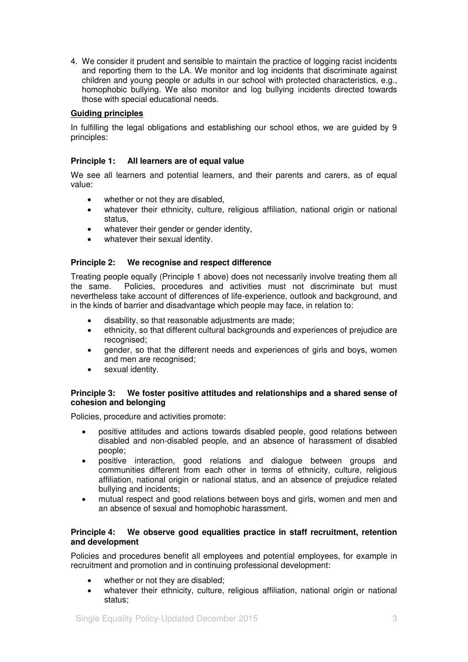4. We consider it prudent and sensible to maintain the practice of logging racist incidents and reporting them to the LA. We monitor and log incidents that discriminate against children and young people or adults in our school with protected characteristics, e.g., homophobic bullying. We also monitor and log bullying incidents directed towards those with special educational needs.

### **Guiding principles**

In fulfilling the legal obligations and establishing our school ethos, we are guided by 9 principles:

#### **Principle 1: All learners are of equal value**

We see all learners and potential learners, and their parents and carers, as of equal value:

- whether or not they are disabled,
- whatever their ethnicity, culture, religious affiliation, national origin or national status,
- whatever their gender or gender identity,
- whatever their sexual identity.

### **Principle 2: We recognise and respect difference**

Treating people equally (Principle 1 above) does not necessarily involve treating them all the same. Policies, procedures and activities must not discriminate but must nevertheless take account of differences of life-experience, outlook and background, and in the kinds of barrier and disadvantage which people may face, in relation to:

- disability, so that reasonable adjustments are made;
- ethnicity, so that different cultural backgrounds and experiences of prejudice are recognised:
- gender, so that the different needs and experiences of girls and boys, women and men are recognised;
- sexual identity.

### **Principle 3: We foster positive attitudes and relationships and a shared sense of cohesion and belonging**

Policies, procedure and activities promote:

- positive attitudes and actions towards disabled people, good relations between disabled and non-disabled people, and an absence of harassment of disabled people;
- positive interaction, good relations and dialogue between groups and communities different from each other in terms of ethnicity, culture, religious affiliation, national origin or national status, and an absence of prejudice related bullying and incidents;
- mutual respect and good relations between boys and girls, women and men and an absence of sexual and homophobic harassment.

#### **Principle 4: We observe good equalities practice in staff recruitment, retention and development**

Policies and procedures benefit all employees and potential employees, for example in recruitment and promotion and in continuing professional development:

- whether or not they are disabled;
- whatever their ethnicity, culture, religious affiliation, national origin or national status;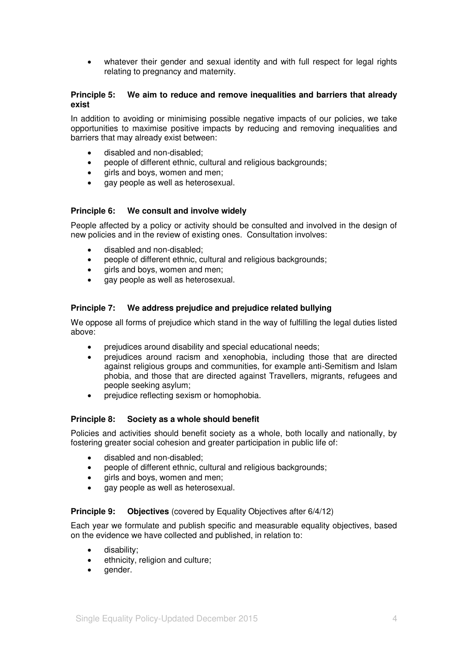• whatever their gender and sexual identity and with full respect for legal rights relating to pregnancy and maternity.

#### **Principle 5: We aim to reduce and remove inequalities and barriers that already exist**

In addition to avoiding or minimising possible negative impacts of our policies, we take opportunities to maximise positive impacts by reducing and removing inequalities and barriers that may already exist between:

- disabled and non-disabled;
- people of different ethnic, cultural and religious backgrounds;
- girls and boys, women and men;
- gay people as well as heterosexual.

### **Principle 6: We consult and involve widely**

People affected by a policy or activity should be consulted and involved in the design of new policies and in the review of existing ones. Consultation involves:

- disabled and non-disabled;
- people of different ethnic, cultural and religious backgrounds;
- girls and boys, women and men;
- gay people as well as heterosexual.

### **Principle 7: We address prejudice and prejudice related bullying**

We oppose all forms of prejudice which stand in the way of fulfilling the legal duties listed above:

- prejudices around disability and special educational needs;
- prejudices around racism and xenophobia, including those that are directed against religious groups and communities, for example anti-Semitism and Islam phobia, and those that are directed against Travellers, migrants, refugees and people seeking asylum;
- prejudice reflecting sexism or homophobia.

#### **Principle 8: Society as a whole should benefit**

Policies and activities should benefit society as a whole, both locally and nationally, by fostering greater social cohesion and greater participation in public life of:

- disabled and non-disabled:
- people of different ethnic, cultural and religious backgrounds;
- girls and boys, women and men;
- gay people as well as heterosexual.

#### **Principle 9:** Objectives (covered by Equality Objectives after 6/4/12)

Each year we formulate and publish specific and measurable equality objectives, based on the evidence we have collected and published, in relation to:

- disability;
- ethnicity, religion and culture;
- gender.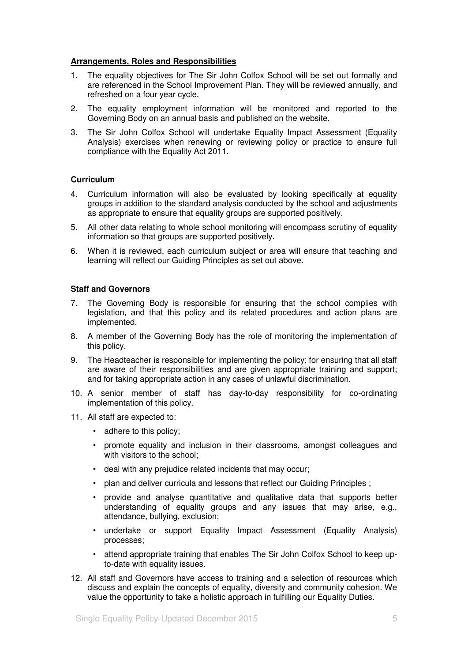#### **Arrangements, Roles and Responsibilities**

- 1. The equality objectives for The Sir John Colfox School will be set out formally and are referenced in the School Improvement Plan. They will be reviewed annually, and refreshed on a four year cycle.
- 2. The equality employment information will be monitored and reported to the Governing Body on an annual basis and published on the website.
- 3. The Sir John Colfox School will undertake Equality Impact Assessment (Equality Analysis) exercises when renewing or reviewing policy or practice to ensure full compliance with the Equality Act 2011.

### **Curriculum**

- 4. Curriculum information will also be evaluated by looking specifically at equality groups in addition to the standard analysis conducted by the school and adjustments as appropriate to ensure that equality groups are supported positively.
- 5. All other data relating to whole school monitoring will encompass scrutiny of equality information so that groups are supported positively.
- 6. When it is reviewed, each curriculum subject or area will ensure that teaching and learning will reflect our Guiding Principles as set out above.

### **Staff and Governors**

- 7. The Governing Body is responsible for ensuring that the school complies with legislation, and that this policy and its related procedures and action plans are implemented.
- 8. A member of the Governing Body has the role of monitoring the implementation of this policy.
- 9. The Headteacher is responsible for implementing the policy; for ensuring that all staff are aware of their responsibilities and are given appropriate training and support; and for taking appropriate action in any cases of unlawful discrimination.
- 10. A senior member of staff has day-to-day responsibility for co-ordinating implementation of this policy.
- 11. All staff are expected to:
	- adhere to this policy;
	- promote equality and inclusion in their classrooms, amongst colleagues and with visitors to the school;
	- deal with any prejudice related incidents that may occur;
	- plan and deliver curricula and lessons that reflect our Guiding Principles;
	- provide and analyse quantitative and qualitative data that supports better understanding of equality groups and any issues that may arise, e.g., attendance, bullying, exclusion;
	- undertake or support Equality Impact Assessment (Equality Analysis) processes;
	- attend appropriate training that enables The Sir John Colfox School to keep upto-date with equality issues.
- 12. All staff and Governors have access to training and a selection of resources which discuss and explain the concepts of equality, diversity and community cohesion. We value the opportunity to take a holistic approach in fulfilling our Equality Duties.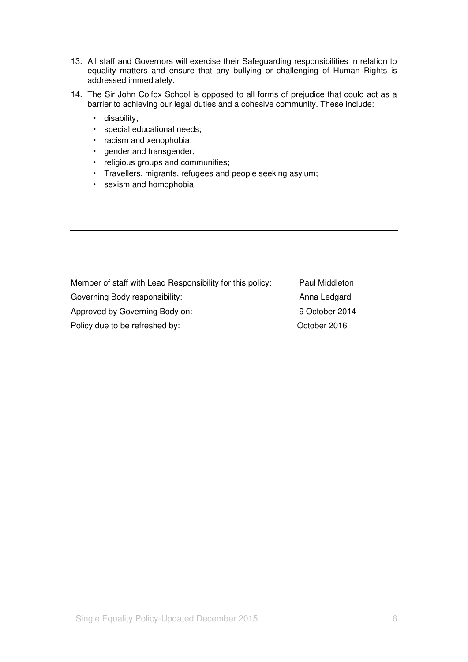- 13. All staff and Governors will exercise their Safeguarding responsibilities in relation to equality matters and ensure that any bullying or challenging of Human Rights is addressed immediately.
- 14. The Sir John Colfox School is opposed to all forms of prejudice that could act as a barrier to achieving our legal duties and a cohesive community. These include:
	- disability;
	- special educational needs;
	- racism and xenophobia;
	- gender and transgender;
	- religious groups and communities;
	- Travellers, migrants, refugees and people seeking asylum;
	- sexism and homophobia.

| Member of staff with Lead Responsibility for this policy: | Paul Middleton |
|-----------------------------------------------------------|----------------|
| Governing Body responsibility:                            | Anna Ledgard   |
| Approved by Governing Body on:                            | 9 October 2014 |
| Policy due to be refreshed by:                            | October 2016   |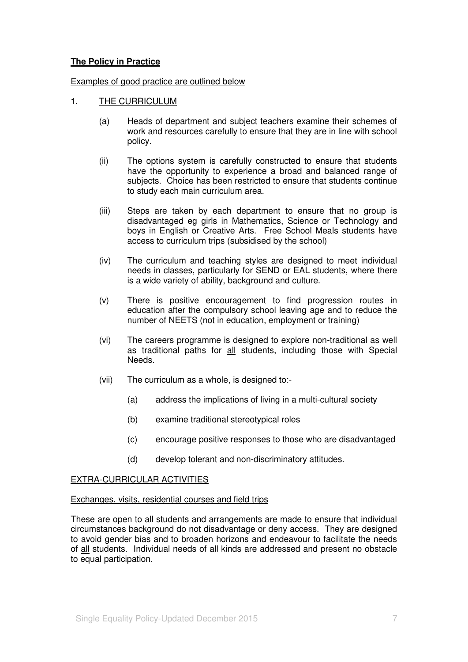## **The Policy in Practice**

### Examples of good practice are outlined below

- 1. THE CURRICULUM
	- (a) Heads of department and subject teachers examine their schemes of work and resources carefully to ensure that they are in line with school policy.
	- (ii) The options system is carefully constructed to ensure that students have the opportunity to experience a broad and balanced range of subjects. Choice has been restricted to ensure that students continue to study each main curriculum area.
	- (iii) Steps are taken by each department to ensure that no group is disadvantaged eg girls in Mathematics, Science or Technology and boys in English or Creative Arts. Free School Meals students have access to curriculum trips (subsidised by the school)
	- (iv) The curriculum and teaching styles are designed to meet individual needs in classes, particularly for SEND or EAL students, where there is a wide variety of ability, background and culture.
	- (v) There is positive encouragement to find progression routes in education after the compulsory school leaving age and to reduce the number of NEETS (not in education, employment or training)
	- (vi) The careers programme is designed to explore non-traditional as well as traditional paths for all students, including those with Special Needs.
	- (vii) The curriculum as a whole, is designed to:-
		- (a) address the implications of living in a multi-cultural society
		- (b) examine traditional stereotypical roles
		- (c) encourage positive responses to those who are disadvantaged
		- (d) develop tolerant and non-discriminatory attitudes.

#### EXTRA-CURRICULAR ACTIVITIES

#### Exchanges, visits, residential courses and field trips

These are open to all students and arrangements are made to ensure that individual circumstances background do not disadvantage or deny access. They are designed to avoid gender bias and to broaden horizons and endeavour to facilitate the needs of all students. Individual needs of all kinds are addressed and present no obstacle to equal participation.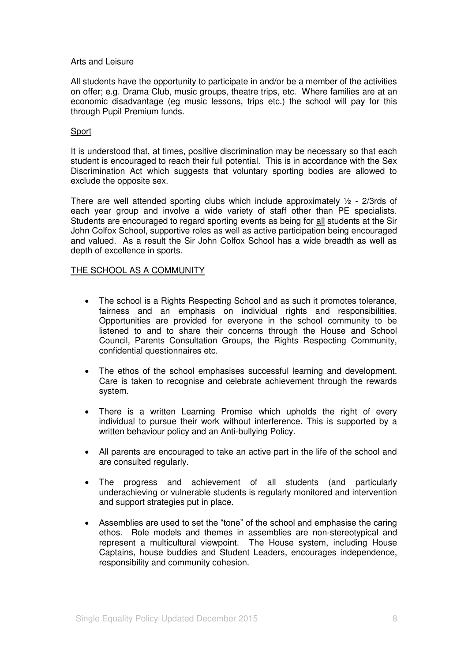#### Arts and Leisure

All students have the opportunity to participate in and/or be a member of the activities on offer; e.g. Drama Club, music groups, theatre trips, etc. Where families are at an economic disadvantage (eg music lessons, trips etc.) the school will pay for this through Pupil Premium funds.

### Sport

It is understood that, at times, positive discrimination may be necessary so that each student is encouraged to reach their full potential. This is in accordance with the Sex Discrimination Act which suggests that voluntary sporting bodies are allowed to exclude the opposite sex.

There are well attended sporting clubs which include approximately  $\frac{1}{2}$  - 2/3rds of each year group and involve a wide variety of staff other than PE specialists. Students are encouraged to regard sporting events as being for all students at the Sir John Colfox School, supportive roles as well as active participation being encouraged and valued. As a result the Sir John Colfox School has a wide breadth as well as depth of excellence in sports.

### THE SCHOOL AS A COMMUNITY

- The school is a Rights Respecting School and as such it promotes tolerance, fairness and an emphasis on individual rights and responsibilities. Opportunities are provided for everyone in the school community to be listened to and to share their concerns through the House and School Council, Parents Consultation Groups, the Rights Respecting Community, confidential questionnaires etc.
- The ethos of the school emphasises successful learning and development. Care is taken to recognise and celebrate achievement through the rewards system.
- There is a written Learning Promise which upholds the right of every individual to pursue their work without interference. This is supported by a written behaviour policy and an Anti-bullying Policy.
- All parents are encouraged to take an active part in the life of the school and are consulted regularly.
- The progress and achievement of all students (and particularly underachieving or vulnerable students is regularly monitored and intervention and support strategies put in place.
- Assemblies are used to set the "tone" of the school and emphasise the caring ethos. Role models and themes in assemblies are non-stereotypical and represent a multicultural viewpoint. The House system, including House Captains, house buddies and Student Leaders, encourages independence, responsibility and community cohesion.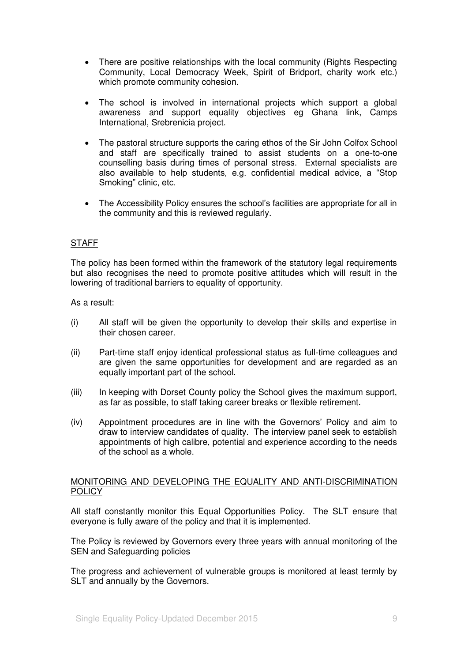- There are positive relationships with the local community (Rights Respecting Community, Local Democracy Week, Spirit of Bridport, charity work etc.) which promote community cohesion.
- The school is involved in international projects which support a global awareness and support equality objectives eg Ghana link, Camps International, Srebrenicia project.
- The pastoral structure supports the caring ethos of the Sir John Colfox School and staff are specifically trained to assist students on a one-to-one counselling basis during times of personal stress. External specialists are also available to help students, e.g. confidential medical advice, a "Stop Smoking" clinic, etc.
- The Accessibility Policy ensures the school's facilities are appropriate for all in the community and this is reviewed regularly.

## **STAFF**

The policy has been formed within the framework of the statutory legal requirements but also recognises the need to promote positive attitudes which will result in the lowering of traditional barriers to equality of opportunity.

As a result:

- (i) All staff will be given the opportunity to develop their skills and expertise in their chosen career.
- (ii) Part-time staff enjoy identical professional status as full-time colleagues and are given the same opportunities for development and are regarded as an equally important part of the school.
- (iii) In keeping with Dorset County policy the School gives the maximum support, as far as possible, to staff taking career breaks or flexible retirement.
- (iv) Appointment procedures are in line with the Governors" Policy and aim to draw to interview candidates of quality. The interview panel seek to establish appointments of high calibre, potential and experience according to the needs of the school as a whole.

### MONITORING AND DEVELOPING THE EQUALITY AND ANTI-DISCRIMINATION **POLICY**

All staff constantly monitor this Equal Opportunities Policy. The SLT ensure that everyone is fully aware of the policy and that it is implemented.

The Policy is reviewed by Governors every three years with annual monitoring of the SEN and Safeguarding policies

The progress and achievement of vulnerable groups is monitored at least termly by SLT and annually by the Governors.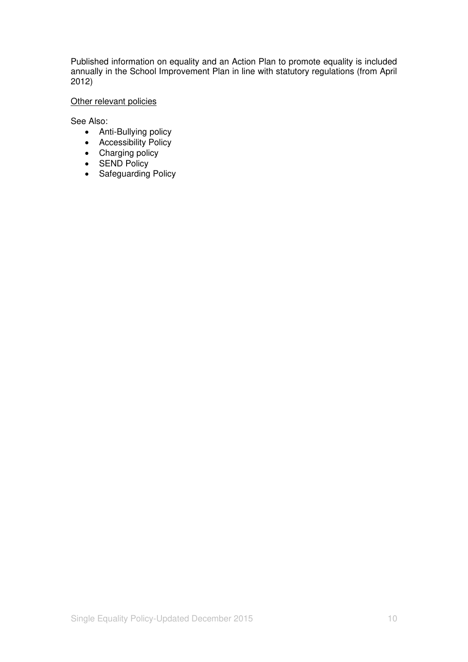Published information on equality and an Action Plan to promote equality is included annually in the School Improvement Plan in line with statutory regulations (from April 2012)

# Other relevant policies

See Also:

- Anti-Bullying policy
- Accessibility Policy
- Charging policy
- SEND Policy
- Safeguarding Policy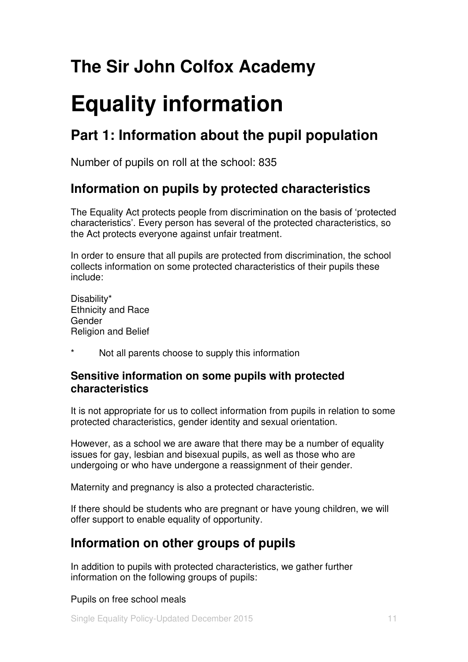# **The Sir John Colfox Academy**

# **Equality information**

# **Part 1: Information about the pupil population**

Number of pupils on roll at the school: 835

# **Information on pupils by protected characteristics**

The Equality Act protects people from discrimination on the basis of "protected characteristics". Every person has several of the protected characteristics, so the Act protects everyone against unfair treatment.

In order to ensure that all pupils are protected from discrimination, the school collects information on some protected characteristics of their pupils these include:

Disability\* Ethnicity and Race Gender Religion and Belief

\* Not all parents choose to supply this information

# **Sensitive information on some pupils with protected characteristics**

It is not appropriate for us to collect information from pupils in relation to some protected characteristics, gender identity and sexual orientation.

However, as a school we are aware that there may be a number of equality issues for gay, lesbian and bisexual pupils, as well as those who are undergoing or who have undergone a reassignment of their gender.

Maternity and pregnancy is also a protected characteristic.

If there should be students who are pregnant or have young children, we will offer support to enable equality of opportunity.

# **Information on other groups of pupils**

In addition to pupils with protected characteristics, we gather further information on the following groups of pupils:

Pupils on free school meals

Single Equality Policy-Updated December 2015 11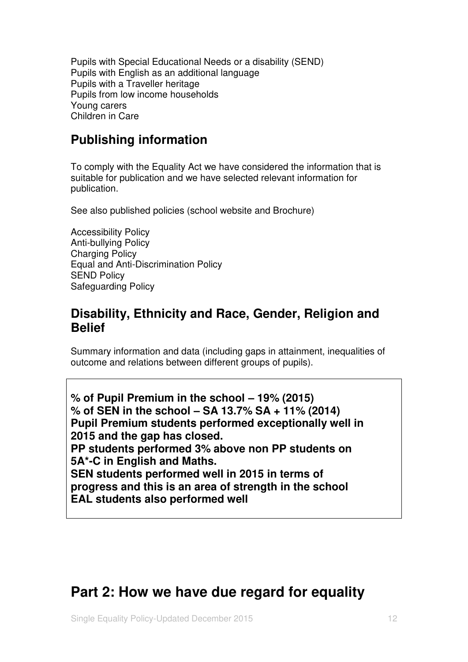Pupils with Special Educational Needs or a disability (SEND) Pupils with English as an additional language Pupils with a Traveller heritage Pupils from low income households Young carers Children in Care

# **Publishing information**

To comply with the Equality Act we have considered the information that is suitable for publication and we have selected relevant information for publication.

See also published policies (school website and Brochure)

Accessibility Policy Anti-bullying Policy Charging Policy Equal and Anti-Discrimination Policy SEND Policy Safeguarding Policy

# **Disability, Ethnicity and Race, Gender, Religion and Belief**

Summary information and data (including gaps in attainment, inequalities of outcome and relations between different groups of pupils).

**% of Pupil Premium in the school – 19% (2015) % of SEN in the school – SA 13.7% SA + 11% (2014) Pupil Premium students performed exceptionally well in 2015 and the gap has closed. PP students performed 3% above non PP students on 5A\*-C in English and Maths. SEN students performed well in 2015 in terms of progress and this is an area of strength in the school EAL students also performed well** 

# **Part 2: How we have due regard for equality**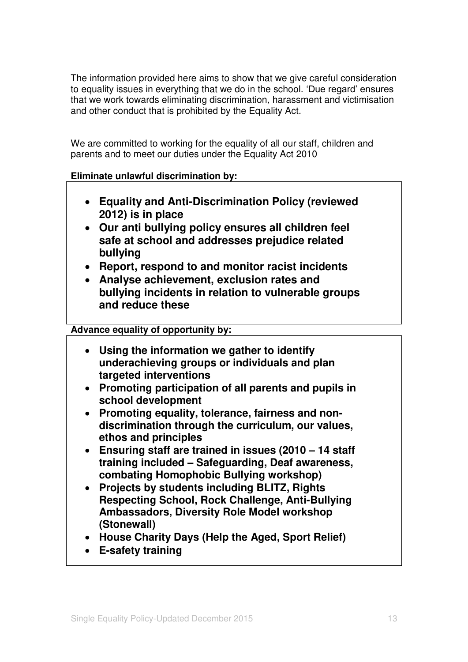The information provided here aims to show that we give careful consideration to equality issues in everything that we do in the school. "Due regard" ensures that we work towards eliminating discrimination, harassment and victimisation and other conduct that is prohibited by the Equality Act.

We are committed to working for the equality of all our staff, children and parents and to meet our duties under the Equality Act 2010

# **Eliminate unlawful discrimination by:**

- **Equality and Anti-Discrimination Policy (reviewed 2012) is in place**
- **Our anti bullying policy ensures all children feel safe at school and addresses prejudice related bullying**
- **Report, respond to and monitor racist incidents**
- **Analyse achievement, exclusion rates and bullying incidents in relation to vulnerable groups and reduce these**

# **Advance equality of opportunity by:**

- **Using the information we gather to identify underachieving groups or individuals and plan targeted interventions**
- **Promoting participation of all parents and pupils in school development**
- **Promoting equality, tolerance, fairness and nondiscrimination through the curriculum, our values, ethos and principles**
- **Ensuring staff are trained in issues (2010 – 14 staff training included – Safeguarding, Deaf awareness, combating Homophobic Bullying workshop)**
- **Projects by students including BLITZ, Rights Respecting School, Rock Challenge, Anti-Bullying Ambassadors, Diversity Role Model workshop (Stonewall)**
- **House Charity Days (Help the Aged, Sport Relief)**
- **E-safety training**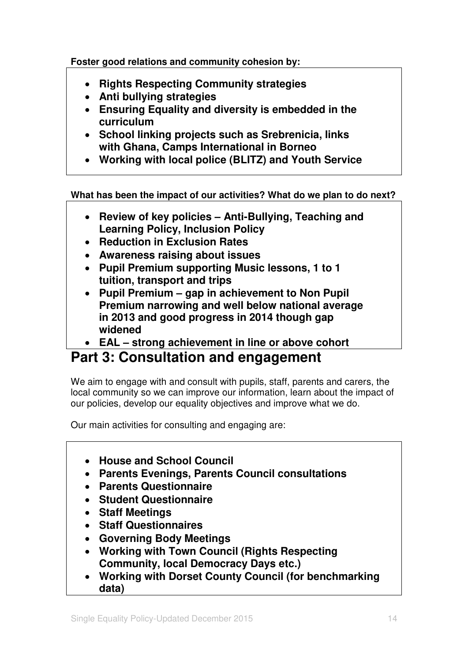**Foster good relations and community cohesion by:** 

- **Rights Respecting Community strategies**
- **Anti bullying strategies**
- **Ensuring Equality and diversity is embedded in the curriculum**
- **School linking projects such as Srebrenicia, links with Ghana, Camps International in Borneo**
- **Working with local police (BLITZ) and Youth Service**

**What has been the impact of our activities? What do we plan to do next?** 

- **Review of key policies – Anti-Bullying, Teaching and Learning Policy, Inclusion Policy**
- **Reduction in Exclusion Rates**
- **Awareness raising about issues**
- **Pupil Premium supporting Music lessons, 1 to 1 tuition, transport and trips**
- **Pupil Premium – gap in achievement to Non Pupil Premium narrowing and well below national average in 2013 and good progress in 2014 though gap widened**
- **EAL – strong achievement in line or above cohort**

# **Part 3: Consultation and engagement**

We aim to engage with and consult with pupils, staff, parents and carers, the local community so we can improve our information, learn about the impact of our policies, develop our equality objectives and improve what we do.

Our main activities for consulting and engaging are:

- **House and School Council**
- **Parents Evenings, Parents Council consultations**
- **Parents Questionnaire**
- **Student Questionnaire**
- **Staff Meetings**
- **Staff Questionnaires**
- **Governing Body Meetings**
- **Working with Town Council (Rights Respecting Community, local Democracy Days etc.)**
- **Working with Dorset County Council (for benchmarking data)**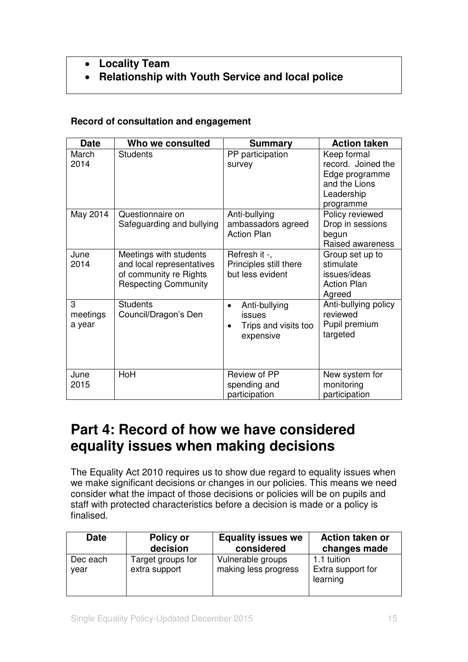# **Locality Team**

**Relationship with Youth Service and local police** 

# **Record of consultation and engagement**

| <b>Date</b>             | Who we consulted                                                                                             | <b>Summary</b>                                                                         | <b>Action taken</b>                                                                             |
|-------------------------|--------------------------------------------------------------------------------------------------------------|----------------------------------------------------------------------------------------|-------------------------------------------------------------------------------------------------|
| March<br>2014           | <b>Students</b>                                                                                              | PP participation<br>survey                                                             | Keep formal<br>record. Joined the<br>Edge programme<br>and the Lions<br>Leadership<br>programme |
| May 2014                | Questionnaire on<br>Safeguarding and bullying                                                                | Anti-bullying<br>ambassadors agreed<br><b>Action Plan</b>                              | Policy reviewed<br>Drop in sessions<br>begun<br>Raised awareness                                |
| June<br>2014            | Meetings with students<br>and local representatives<br>of community re Rights<br><b>Respecting Community</b> | Refresh it -,<br>Principles still there<br>but less evident                            | Group set up to<br>stimulate<br>issues/ideas<br><b>Action Plan</b><br>Agreed                    |
| 3<br>meetings<br>a year | <b>Students</b><br>Council/Dragon's Den                                                                      | Anti-bullying<br>$\bullet$<br>issues<br>Trips and visits too<br>$\bullet$<br>expensive | Anti-bullying policy<br>reviewed<br>Pupil premium<br>targeted                                   |
| June<br>2015            | HoH                                                                                                          | Review of PP<br>spending and<br>participation                                          | New system for<br>monitoring<br>participation                                                   |

# **Part 4: Record of how we have considered equality issues when making decisions**

The Equality Act 2010 requires us to show due regard to equality issues when we make significant decisions or changes in our policies. This means we need consider what the impact of those decisions or policies will be on pupils and staff with protected characteristics before a decision is made or a policy is finalised.

| <b>Date</b>      | Policy or                          | <b>Equality issues we</b>                 | Action taken or                              |
|------------------|------------------------------------|-------------------------------------------|----------------------------------------------|
|                  | decision                           | considered                                | changes made                                 |
| Dec each<br>year | Target groups for<br>extra support | Vulnerable groups<br>making less progress | 1.1 tuition<br>Extra support for<br>learning |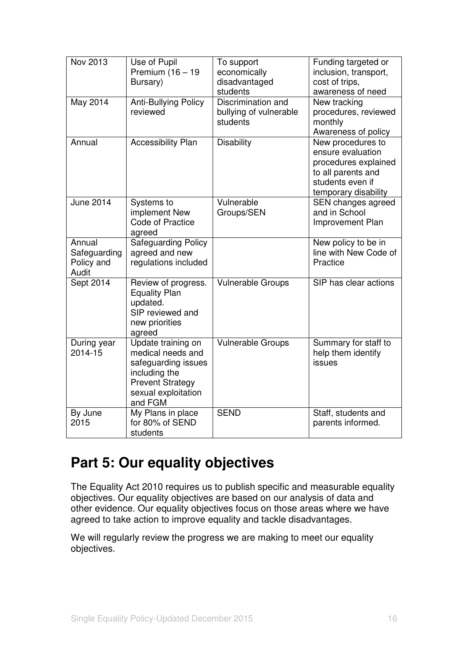| Nov 2013                                      | Use of Pupil<br>Premium (16 - 19<br>Bursary)                                                                                                 | To support<br>economically<br>disadvantaged<br>students  | Funding targeted or<br>inclusion, transport,<br>cost of trips,<br>awareness of need                                              |
|-----------------------------------------------|----------------------------------------------------------------------------------------------------------------------------------------------|----------------------------------------------------------|----------------------------------------------------------------------------------------------------------------------------------|
| May 2014                                      | <b>Anti-Bullying Policy</b><br>reviewed                                                                                                      | Discrimination and<br>bullying of vulnerable<br>students | New tracking<br>procedures, reviewed<br>monthly<br>Awareness of policy                                                           |
| Annual                                        | <b>Accessibility Plan</b>                                                                                                                    | <b>Disability</b>                                        | New procedures to<br>ensure evaluation<br>procedures explained<br>to all parents and<br>students even if<br>temporary disability |
| <b>June 2014</b>                              | Systems to<br>implement New<br><b>Code of Practice</b><br>agreed                                                                             | Vulnerable<br>Groups/SEN                                 | SEN changes agreed<br>and in School<br>Improvement Plan                                                                          |
| Annual<br>Safeguarding<br>Policy and<br>Audit | <b>Safeguarding Policy</b><br>agreed and new<br>regulations included                                                                         |                                                          | New policy to be in<br>line with New Code of<br>Practice                                                                         |
| Sept 2014                                     | Review of progress.<br><b>Equality Plan</b><br>updated.<br>SIP reviewed and<br>new priorities<br>agreed                                      | <b>Vulnerable Groups</b>                                 | SIP has clear actions                                                                                                            |
| During year<br>2014-15                        | Update training on<br>medical needs and<br>safeguarding issues<br>including the<br><b>Prevent Strategy</b><br>sexual exploitation<br>and FGM | <b>Vulnerable Groups</b>                                 | Summary for staff to<br>help them identify<br>issues                                                                             |
| By June<br>2015                               | My Plans in place<br>for 80% of SEND<br>students                                                                                             | <b>SEND</b>                                              | Staff, students and<br>parents informed.                                                                                         |

# **Part 5: Our equality objectives**

The Equality Act 2010 requires us to publish specific and measurable equality objectives. Our equality objectives are based on our analysis of data and other evidence. Our equality objectives focus on those areas where we have agreed to take action to improve equality and tackle disadvantages.

We will regularly review the progress we are making to meet our equality objectives.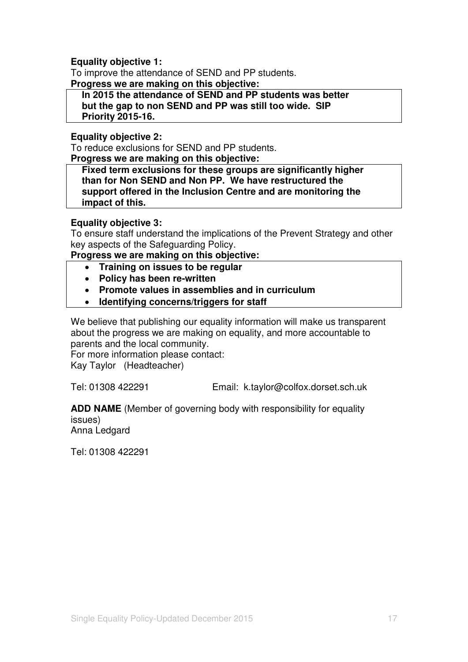# **Equality objective 1:**

To improve the attendance of SEND and PP students.

**Progress we are making on this objective:** 

**In 2015 the attendance of SEND and PP students was better but the gap to non SEND and PP was still too wide. SIP Priority 2015-16.**

# **Equality objective 2:**

To reduce exclusions for SEND and PP students.

**Progress we are making on this objective:** 

**Fixed term exclusions for these groups are significantly higher than for Non SEND and Non PP. We have restructured the support offered in the Inclusion Centre and are monitoring the impact of this.** 

## **Equality objective 3:**

To ensure staff understand the implications of the Prevent Strategy and other key aspects of the Safeguarding Policy.

**Progress we are making on this objective:** 

- **Training on issues to be regular**
- **Policy has been re-written**
- **Promote values in assemblies and in curriculum**
- **Identifying concerns/triggers for staff**

We believe that publishing our equality information will make us transparent about the progress we are making on equality, and more accountable to parents and the local community.

For more information please contact:

Kay Taylor (Headteacher)

Tel: 01308 422291 Email: k.taylor@colfox.dorset.sch.uk

**ADD NAME** (Member of governing body with responsibility for equality issues) Anna Ledgard

Tel: 01308 422291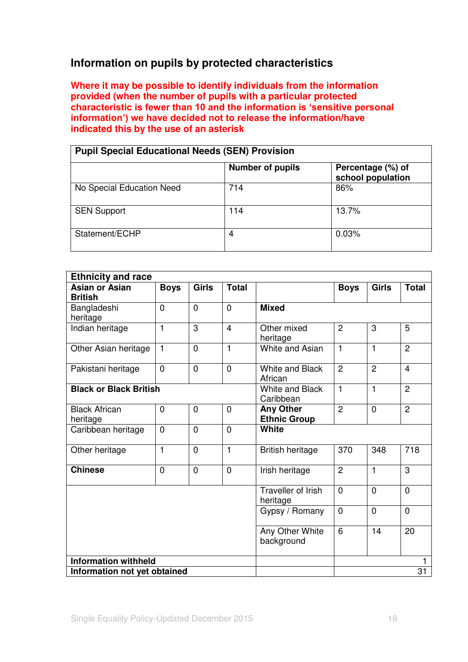# **Information on pupils by protected characteristics**

**Where it may be possible to identify individuals from the information provided (when the number of pupils with a particular protected characteristic is fewer than 10 and the information is 'sensitive personal information') we have decided not to release the information/have indicated this by the use of an asterisk** 

| <b>Pupil Special Educational Needs (SEN) Provision</b> |                         |                                        |  |  |
|--------------------------------------------------------|-------------------------|----------------------------------------|--|--|
|                                                        | <b>Number of pupils</b> | Percentage (%) of<br>school population |  |  |
| No Special Education Need                              | 714                     | 86%                                    |  |  |
| <b>SEN Support</b>                                     | 114                     | 13.7%                                  |  |  |
| Statement/ECHP                                         | 4                       | 0.03%                                  |  |  |

| <b>Ethnicity and race</b>     |                |                |                |                                     |                |                |                |
|-------------------------------|----------------|----------------|----------------|-------------------------------------|----------------|----------------|----------------|
| <b>Asian or Asian</b>         | <b>Boys</b>    | <b>Girls</b>   | <b>Total</b>   |                                     | <b>Boys</b>    | <b>Girls</b>   | <b>Total</b>   |
| <b>British</b>                |                |                |                |                                     |                |                |                |
| Bangladeshi                   | $\overline{0}$ | $\overline{0}$ | $\overline{0}$ | <b>Mixed</b>                        |                |                |                |
| heritage                      |                |                |                |                                     |                |                |                |
| Indian heritage               | $\mathbf{1}$   | $\overline{3}$ | $\overline{4}$ | Other mixed<br>heritage             | $\overline{2}$ | 3              | 5              |
| Other Asian heritage          | $\mathbf{1}$   | $\overline{0}$ | $\mathbf{1}$   | White and Asian                     | $\mathbf{1}$   | 1              | $\overline{2}$ |
| Pakistani heritage            | $\Omega$       | $\overline{0}$ | $\overline{0}$ | <b>White and Black</b><br>African   | $\overline{2}$ | $\overline{2}$ | $\overline{4}$ |
| <b>Black or Black British</b> |                |                |                | <b>White and Black</b><br>Caribbean | $\mathbf{1}$   | 1              | 2              |
| <b>Black African</b>          | $\mathbf 0$    | $\overline{0}$ | $\overline{0}$ | <b>Any Other</b>                    | $\overline{2}$ | $\overline{0}$ | $\overline{2}$ |
| heritage                      |                |                |                | <b>Ethnic Group</b>                 |                |                |                |
| Caribbean heritage            | $\mathbf 0$    | $\overline{0}$ | $\overline{0}$ | White                               |                |                |                |
| Other heritage                | $\mathbf{1}$   | $\overline{0}$ | $\mathbf{1}$   | <b>British heritage</b>             | 370            | 348            | 718            |
| <b>Chinese</b>                | $\overline{0}$ | $\overline{0}$ | $\overline{0}$ | Irish heritage                      | $\overline{2}$ | 1              | 3              |
|                               |                |                |                | Traveller of Irish<br>heritage      | $\overline{0}$ | $\mathbf 0$    | $\mathbf 0$    |
|                               |                | Gypsy / Romany | $\mathbf 0$    | $\overline{0}$                      | $\Omega$       |                |                |
|                               |                |                |                | Any Other White<br>background       | 6              | 14             | 20             |
| <b>Information withheld</b>   |                |                |                |                                     |                |                | 1              |
| Information not yet obtained  |                |                |                |                                     |                |                | 31             |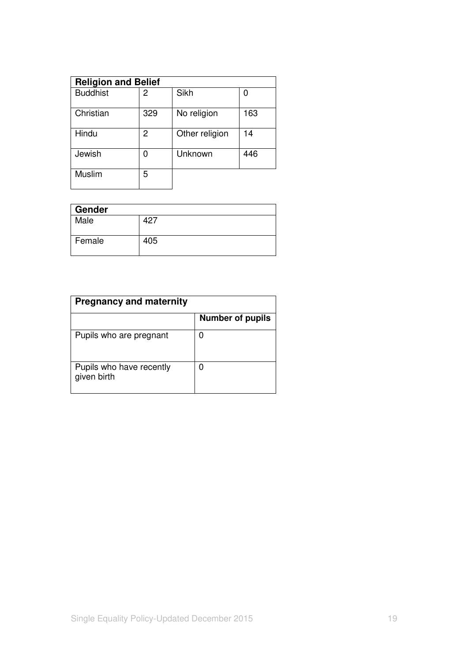| <b>Religion and Belief</b> |     |                |     |  |  |
|----------------------------|-----|----------------|-----|--|--|
| <b>Buddhist</b>            | 2   | Sikh           |     |  |  |
| Christian                  | 329 | No religion    | 163 |  |  |
| Hindu                      | 2   | Other religion | 14  |  |  |
| Jewish                     |     | Unknown        | 446 |  |  |
| Muslim                     | 5   |                |     |  |  |

| Gender |     |
|--------|-----|
| Male   | 427 |
| Female | 405 |

| <b>Pregnancy and maternity</b>          |                         |  |  |
|-----------------------------------------|-------------------------|--|--|
|                                         | <b>Number of pupils</b> |  |  |
| Pupils who are pregnant                 |                         |  |  |
| Pupils who have recently<br>given birth |                         |  |  |